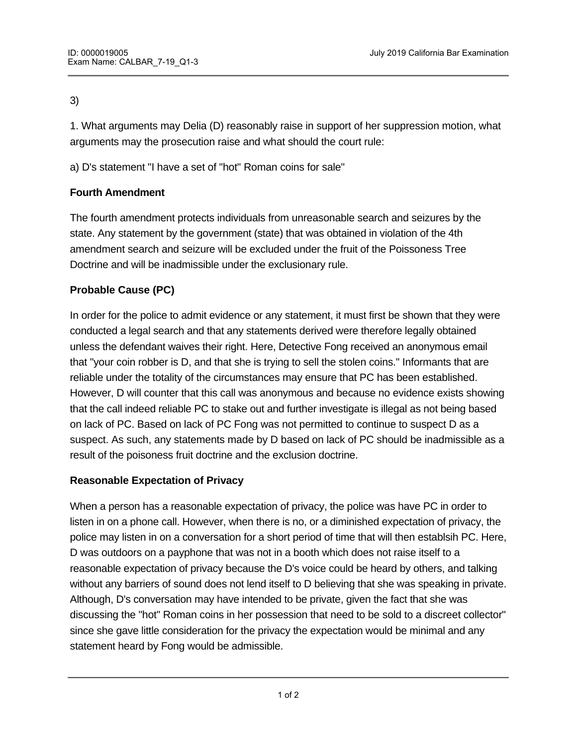#### 3)

1. What arguments may Delia (D) reasonably raise in support of her suppression motion, what arguments may the prosecution raise and what should the court rule:

a) D's statement "I have a set of "hot" Roman coins for sale"

# **Fourth Amendment**

The fourth amendment protects individuals from unreasonable search and seizures by the state. Any statement by the government (state) that was obtained in violation of the 4th amendment search and seizure will be excluded under the fruit of the Poissoness Tree Doctrine and will be inadmissible under the exclusionary rule.

# **Probable Cause (PC)**

In order for the police to admit evidence or any statement, it must first be shown that they were conducted a legal search and that any statements derived were therefore legally obtained unless the defendant waives their right. Here, Detective Fong received an anonymous email that "your coin robber is D, and that she is trying to sell the stolen coins." Informants that are reliable under the totality of the circumstances may ensure that PC has been established. However, D will counter that this call was anonymous and because no evidence exists showing that the call indeed reliable PC to stake out and further investigate is illegal as not being based on lack of PC. Based on lack of PC Fong was not permitted to continue to suspect D as a suspect. As such, any statements made by D based on lack of PC should be inadmissible as a result of the poisoness fruit doctrine and the exclusion doctrine.

# **Reasonable Expectation of Privacy**

Therefore, D's statement is admissible.

When a person has a reasonable expectation of privacy, the police was have PC in order to listen in on a phone call. However, when there is no, or a diminished expectation of privacy, the police may listen in on a conversation for a short period of time that will then establsih PC. Here, D was outdoors on a payphone that was not in a booth which does not raise itself to a reasonable expectation of privacy because the D's voice could be heard by others, and talking without any barriers of sound does not lend itself to D believing that she was speaking in private. Although, D's conversation may have intended to be private, given the fact that she was discussing the "hot" Roman coins in her possession that need to be sold to a discreet collector" since she gave little consideration for the privacy the expectation would be minimal and any statement heard by Fong would be admissible.